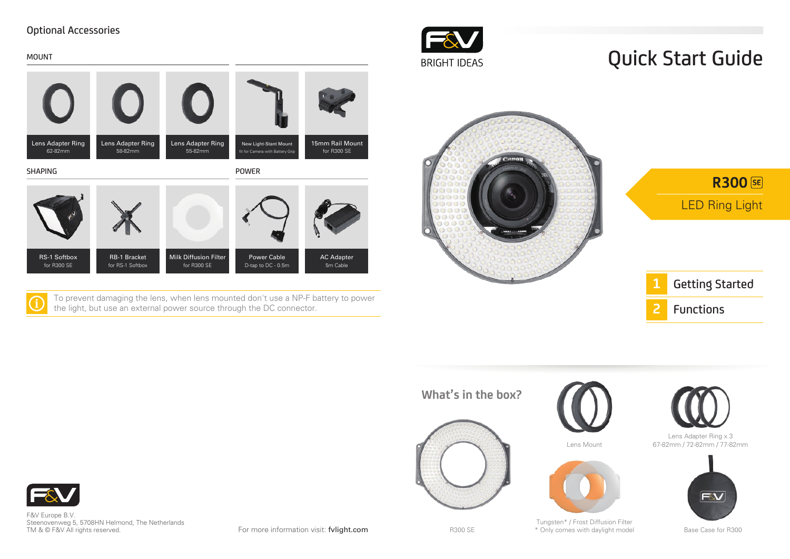#### Optional Accessories



**2** Getting Started Functions

LED Ring Light

**R300 SE** 





F&V Europe B.V. Steenovenweg 5, 5708HN Helmond, The Netherlands TM & © F&V All rights reserved.

For more information visit: fvlight.com

R300 SE

Tungsten\* / Frost Diffusion Filter \* Only comes with daylight model Base Case for R300